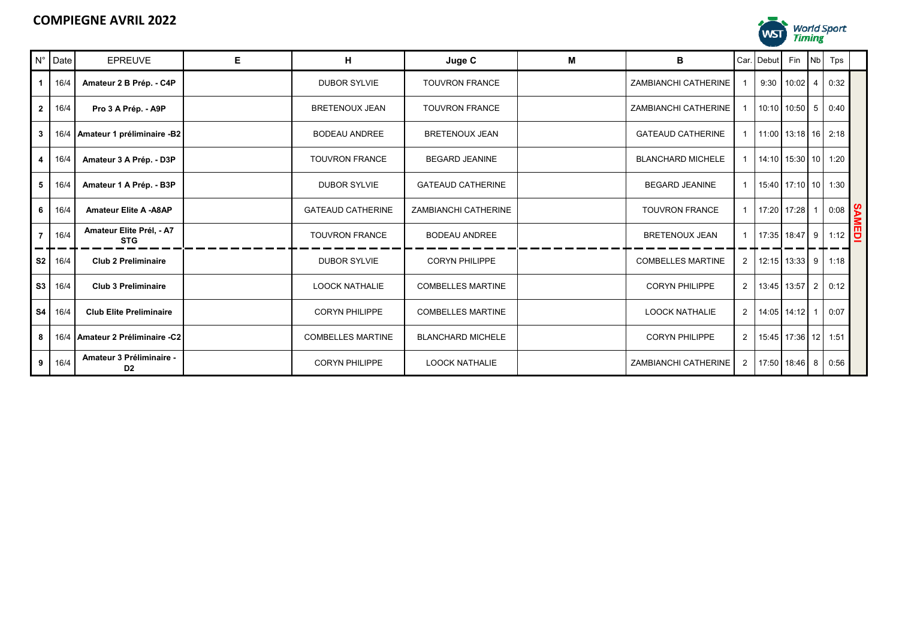

|   | $N^{\circ}$ Date | <b>EPREUVE</b>                             | E. | н                        | Juge C                   | м | B                        |                | Car. Debut            | Fin                 | N <sub>b</sub> | Tps  |           |
|---|------------------|--------------------------------------------|----|--------------------------|--------------------------|---|--------------------------|----------------|-----------------------|---------------------|----------------|------|-----------|
|   | 16/4             | Amateur 2 B Prép. - C4P                    |    | <b>DUBOR SYLVIE</b>      | <b>TOUVRON FRANCE</b>    |   | ZAMBIANCHI CATHERINE     |                | 9:30                  | 10:02               |                | 0:32 |           |
| 2 | 16/4             | Pro 3 A Prép. - A9P                        |    | <b>BRETENOUX JEAN</b>    | <b>TOUVRON FRANCE</b>    |   | ZAMBIANCHI CATHERINE     |                |                       | 10:10 10:50 5       |                | 0:40 |           |
| 3 |                  | 16/4 Amateur 1 préliminaire -B2            |    | <b>BODEAU ANDREE</b>     | <b>BRETENOUX JEAN</b>    |   | <b>GATEAUD CATHERINE</b> |                | 11:00 13:18 16 2:18   |                     |                |      |           |
|   | 16/4             | Amateur 3 A Prép. - D3P                    |    | <b>TOUVRON FRANCE</b>    | <b>BEGARD JEANINE</b>    |   | <b>BLANCHARD MICHELE</b> |                | $14:10$ 15:30 10 1:20 |                     |                |      |           |
| 5 | 16/4             | Amateur 1 A Prép. - B3P                    |    | <b>DUBOR SYLVIE</b>      | <b>GATEAUD CATHERINE</b> |   | <b>BEGARD JEANINE</b>    |                |                       | 15:40 17:10 10 1:30 |                |      |           |
| 6 | 16/4             | <b>Amateur Elite A -A8AP</b>               |    | <b>GATEAUD CATHERINE</b> | ZAMBIANCHI CATHERINE     |   | <b>TOUVRON FRANCE</b>    |                | 17:20 17:28           |                     |                | 0:08 | <b>SA</b> |
|   | 16/4             | Amateur Elite Prél, - A7<br><b>STG</b>     |    | <b>TOUVRON FRANCE</b>    | <b>BODEAU ANDREE</b>     |   | <b>BRETENOUX JEAN</b>    |                |                       | 17:35 18:47 9       |                | 1:12 | EDI       |
|   | S2 16/4          | <b>Club 2 Preliminaire</b>                 |    | <b>DUBOR SYLVIE</b>      | <b>CORYN PHILIPPE</b>    |   | <b>COMBELLES MARTINE</b> | 2 <sup>1</sup> |                       | 12:15 13:33 9       |                | 1:18 |           |
|   | S3 16/4          | <b>Club 3 Preliminaire</b>                 |    | <b>LOOCK NATHALIE</b>    | <b>COMBELLES MARTINE</b> |   | <b>CORYN PHILIPPE</b>    | 2 <sup>1</sup> |                       | 13:45 13:57 2       |                | 0:12 |           |
|   | $S4$ 16/4        | <b>Club Elite Preliminaire</b>             |    | <b>CORYN PHILIPPE</b>    | <b>COMBELLES MARTINE</b> |   | <b>LOOCK NATHALIE</b>    | 2 <sup>1</sup> |                       | 14:05 14:12         |                | 0:07 |           |
| 8 | 16/4             | Amateur 2 Préliminaire -C2                 |    | <b>COMBELLES MARTINE</b> | <b>BLANCHARD MICHELE</b> |   | <b>CORYN PHILIPPE</b>    | 2 <sub>1</sub> |                       | 15:45 17:36 12 1:51 |                |      |           |
| 9 | 16/4             | Amateur 3 Préliminaire -<br>D <sub>2</sub> |    | <b>CORYN PHILIPPE</b>    | <b>LOOCK NATHALIE</b>    |   | ZAMBIANCHI CATHERINE     | $\overline{2}$ | 17:50 18:46 8         |                     |                | 0:56 |           |